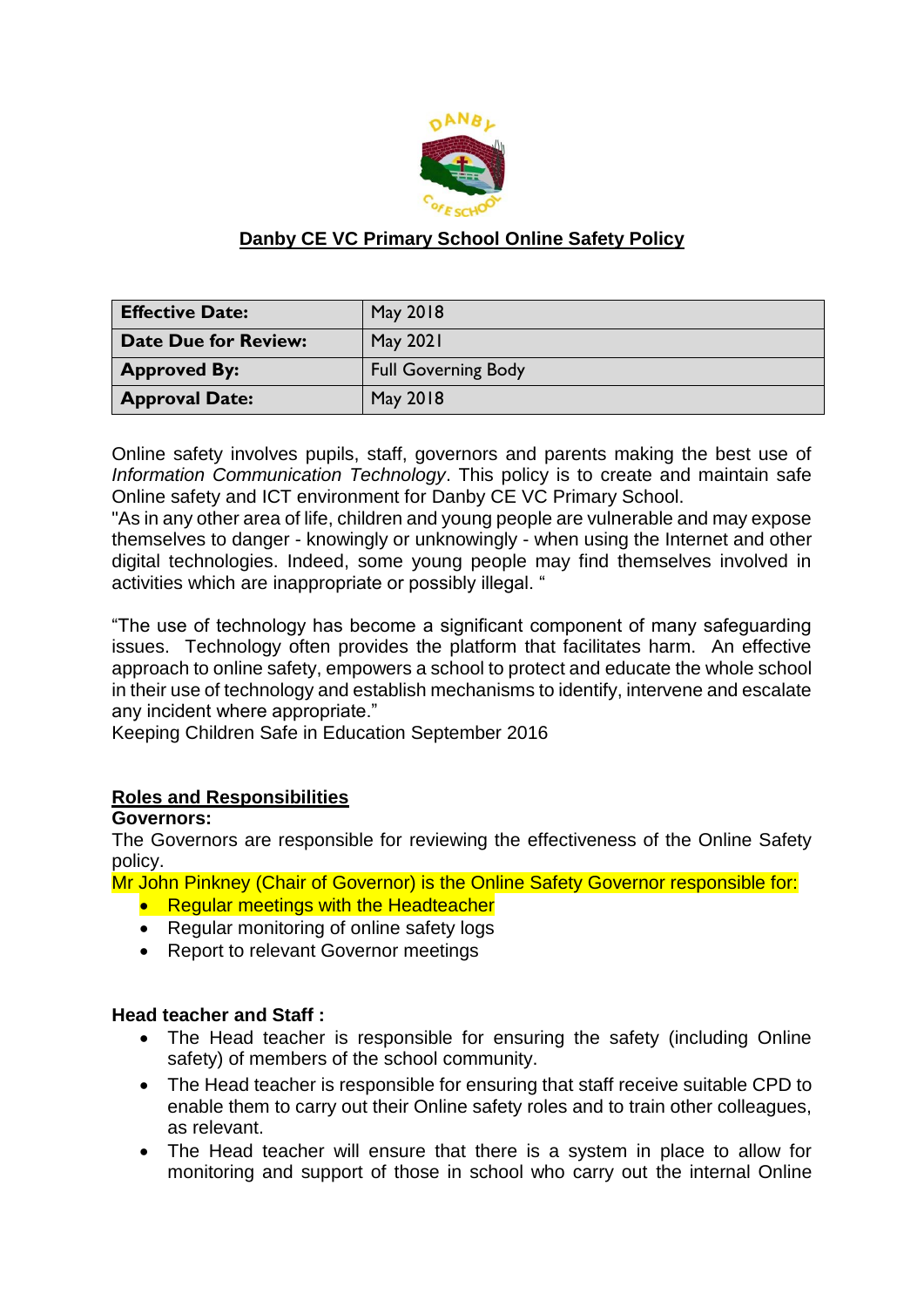

# **Danby CE VC Primary School Online Safety Policy**

| <b>Effective Date:</b>      | May 2018                   |
|-----------------------------|----------------------------|
| <b>Date Due for Review:</b> | May 2021                   |
| <b>Approved By:</b>         | <b>Full Governing Body</b> |
| <b>Approval Date:</b>       | May 2018                   |

Online safety involves pupils, staff, governors and parents making the best use of *Information Communication Technology*. This policy is to create and maintain safe Online safety and ICT environment for Danby CE VC Primary School.

"As in any other area of life, children and young people are vulnerable and may expose themselves to danger - knowingly or unknowingly - when using the Internet and other digital technologies. Indeed, some young people may find themselves involved in activities which are inappropriate or possibly illegal. "

"The use of technology has become a significant component of many safeguarding issues. Technology often provides the platform that facilitates harm. An effective approach to online safety, empowers a school to protect and educate the whole school in their use of technology and establish mechanisms to identify, intervene and escalate any incident where appropriate."

Keeping Children Safe in Education September 2016

## **Roles and Responsibilities**

#### **Governors:**

The Governors are responsible for reviewing the effectiveness of the Online Safety policy.

Mr John Pinkney (Chair of Governor) is the Online Safety Governor responsible for:

- Regular meetings with the Headteacher
- Regular monitoring of online safety logs
- Report to relevant Governor meetings

#### **Head teacher and Staff :**

- The Head teacher is responsible for ensuring the safety (including Online safety) of members of the school community.
- The Head teacher is responsible for ensuring that staff receive suitable CPD to enable them to carry out their Online safety roles and to train other colleagues, as relevant.
- The Head teacher will ensure that there is a system in place to allow for monitoring and support of those in school who carry out the internal Online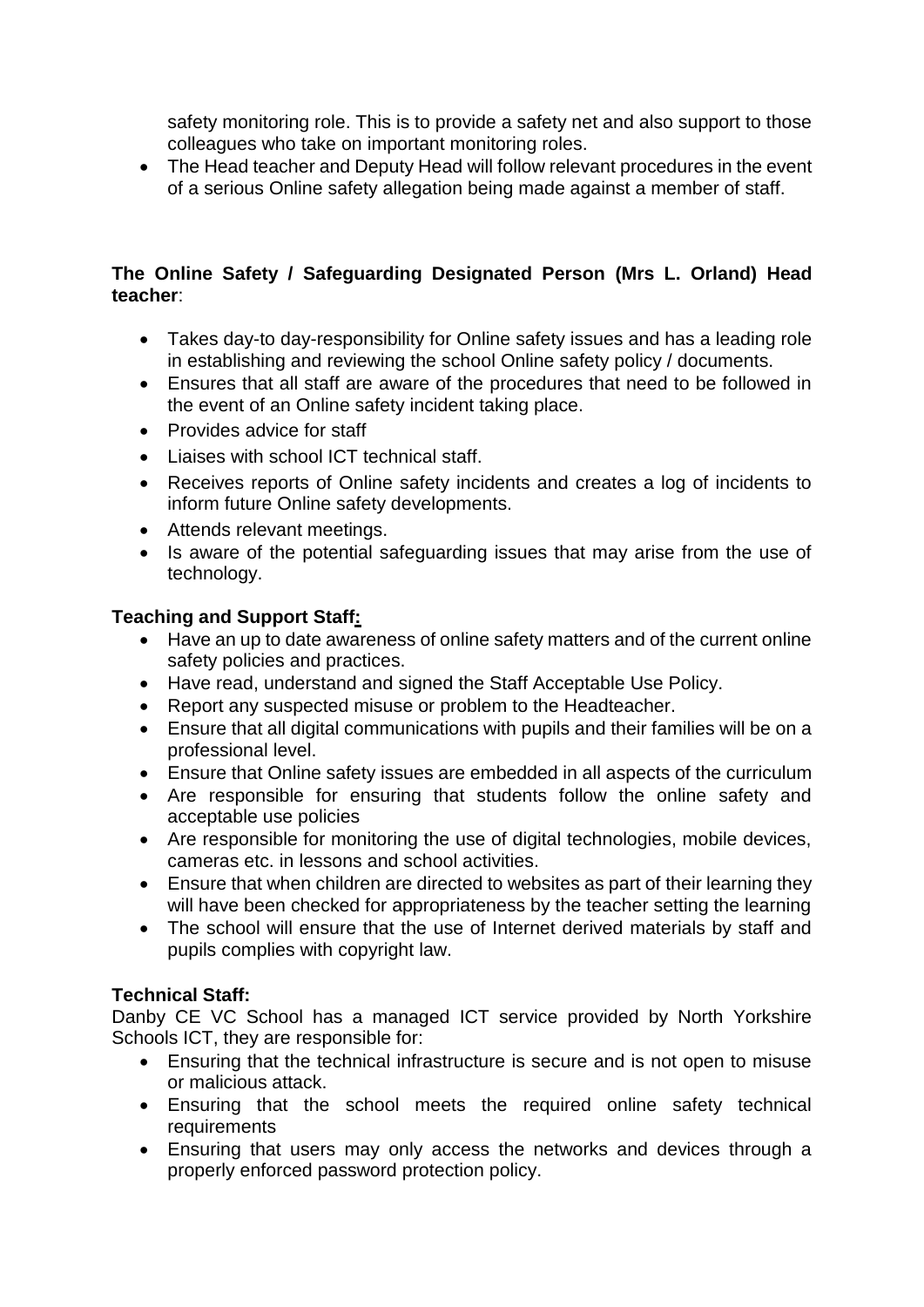safety monitoring role. This is to provide a safety net and also support to those colleagues who take on important monitoring roles.

• The Head teacher and Deputy Head will follow relevant procedures in the event of a serious Online safety allegation being made against a member of staff.

### **The Online Safety / Safeguarding Designated Person (Mrs L. Orland) Head teacher**:

- Takes day-to day-responsibility for Online safety issues and has a leading role in establishing and reviewing the school Online safety policy / documents.
- Ensures that all staff are aware of the procedures that need to be followed in the event of an Online safety incident taking place.
- Provides advice for staff
- Liaises with school ICT technical staff.
- Receives reports of Online safety incidents and creates a log of incidents to inform future Online safety developments.
- Attends relevant meetings.
- Is aware of the potential safeguarding issues that may arise from the use of technology.

# **Teaching and Support Staff:**

- Have an up to date awareness of online safety matters and of the current online safety policies and practices.
- Have read, understand and signed the Staff Acceptable Use Policy.
- Report any suspected misuse or problem to the Headteacher.
- Ensure that all digital communications with pupils and their families will be on a professional level.
- Ensure that Online safety issues are embedded in all aspects of the curriculum
- Are responsible for ensuring that students follow the online safety and acceptable use policies
- Are responsible for monitoring the use of digital technologies, mobile devices, cameras etc. in lessons and school activities.
- Ensure that when children are directed to websites as part of their learning they will have been checked for appropriateness by the teacher setting the learning
- The school will ensure that the use of Internet derived materials by staff and pupils complies with copyright law.

# **Technical Staff:**

Danby CE VC School has a managed ICT service provided by North Yorkshire Schools ICT, they are responsible for:

- Ensuring that the technical infrastructure is secure and is not open to misuse or malicious attack.
- Ensuring that the school meets the required online safety technical requirements
- Ensuring that users may only access the networks and devices through a properly enforced password protection policy.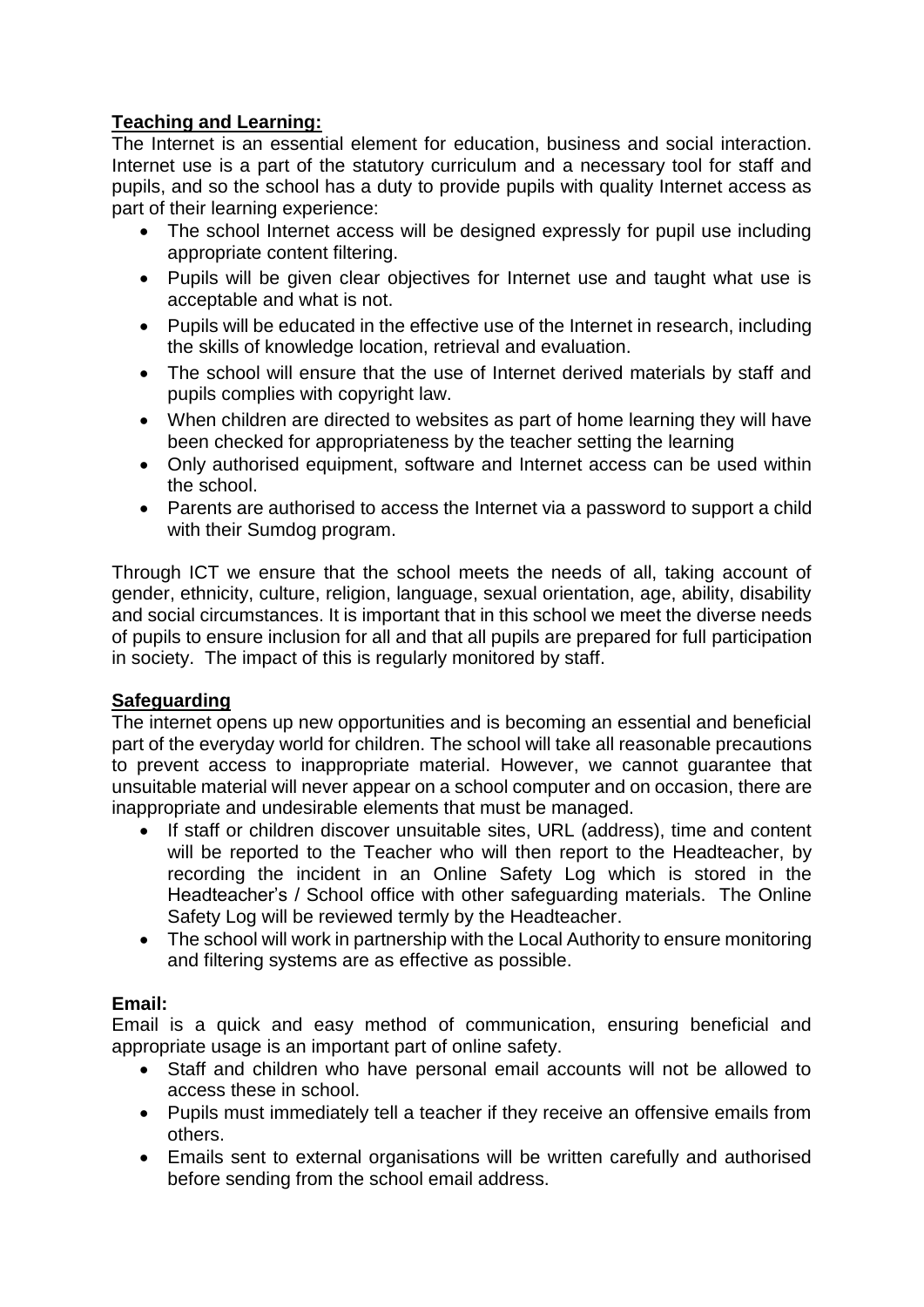# **Teaching and Learning:**

The Internet is an essential element for education, business and social interaction. Internet use is a part of the statutory curriculum and a necessary tool for staff and pupils, and so the school has a duty to provide pupils with quality Internet access as part of their learning experience:

- The school Internet access will be designed expressly for pupil use including appropriate content filtering.
- Pupils will be given clear objectives for Internet use and taught what use is acceptable and what is not.
- Pupils will be educated in the effective use of the Internet in research, including the skills of knowledge location, retrieval and evaluation.
- The school will ensure that the use of Internet derived materials by staff and pupils complies with copyright law.
- When children are directed to websites as part of home learning they will have been checked for appropriateness by the teacher setting the learning
- Only authorised equipment, software and Internet access can be used within the school.
- Parents are authorised to access the Internet via a password to support a child with their Sumdog program.

Through ICT we ensure that the school meets the needs of all, taking account of gender, ethnicity, culture, religion, language, sexual orientation, age, ability, disability and social circumstances. It is important that in this school we meet the diverse needs of pupils to ensure inclusion for all and that all pupils are prepared for full participation in society. The impact of this is regularly monitored by staff.

## **Safeguarding**

The internet opens up new opportunities and is becoming an essential and beneficial part of the everyday world for children. The school will take all reasonable precautions to prevent access to inappropriate material. However, we cannot guarantee that unsuitable material will never appear on a school computer and on occasion, there are inappropriate and undesirable elements that must be managed.

- If staff or children discover unsuitable sites, URL (address), time and content will be reported to the Teacher who will then report to the Headteacher, by recording the incident in an Online Safety Log which is stored in the Headteacher's / School office with other safeguarding materials. The Online Safety Log will be reviewed termly by the Headteacher.
- The school will work in partnership with the Local Authority to ensure monitoring and filtering systems are as effective as possible.

## **Email:**

Email is a quick and easy method of communication, ensuring beneficial and appropriate usage is an important part of online safety.

- Staff and children who have personal email accounts will not be allowed to access these in school.
- Pupils must immediately tell a teacher if they receive an offensive emails from others.
- Emails sent to external organisations will be written carefully and authorised before sending from the school email address.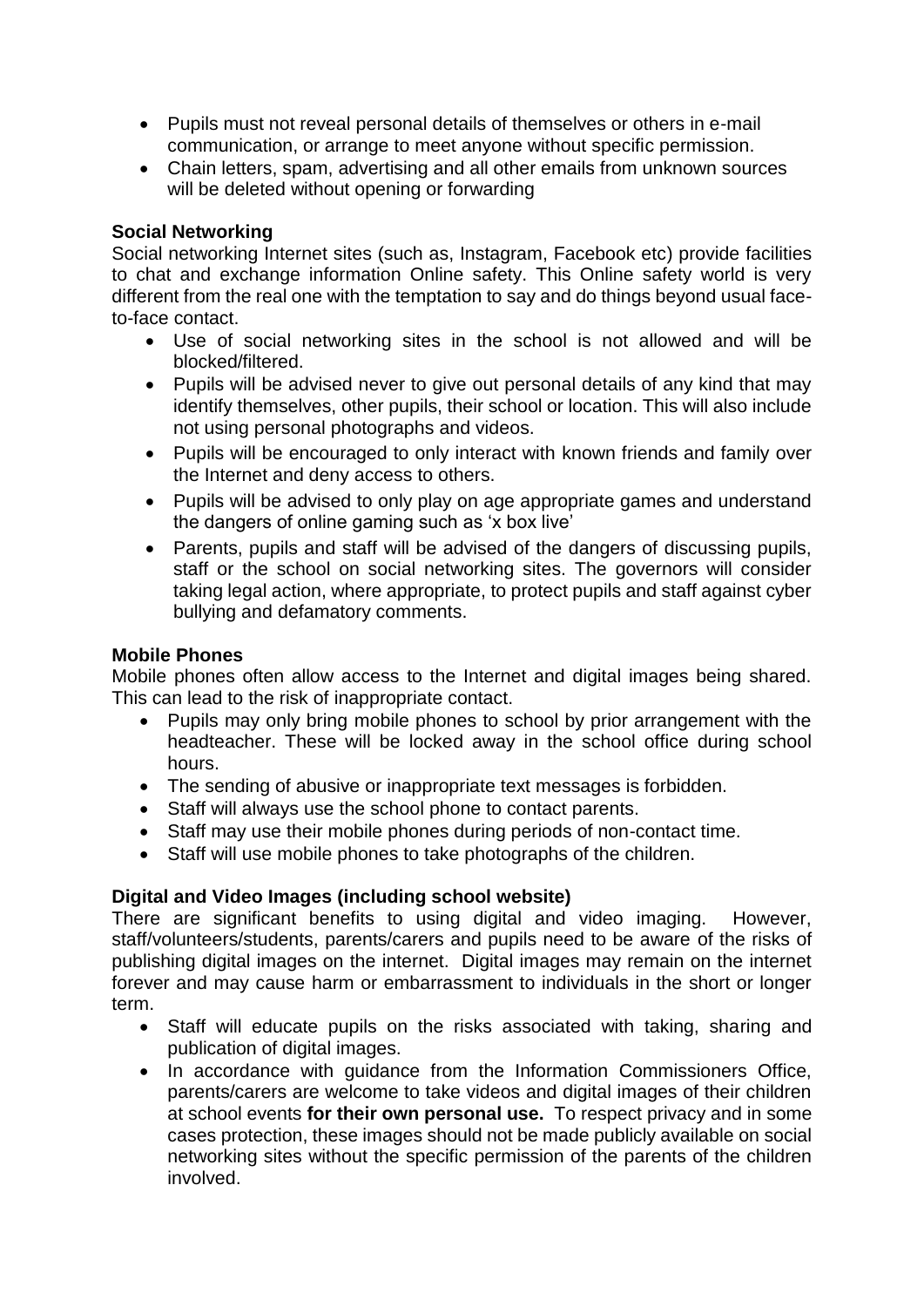- Pupils must not reveal personal details of themselves or others in e-mail communication, or arrange to meet anyone without specific permission.
- Chain letters, spam, advertising and all other emails from unknown sources will be deleted without opening or forwarding

### **Social Networking**

Social networking Internet sites (such as, Instagram, Facebook etc) provide facilities to chat and exchange information Online safety. This Online safety world is very different from the real one with the temptation to say and do things beyond usual faceto-face contact.

- Use of social networking sites in the school is not allowed and will be blocked/filtered.
- Pupils will be advised never to give out personal details of any kind that may identify themselves, other pupils, their school or location. This will also include not using personal photographs and videos.
- Pupils will be encouraged to only interact with known friends and family over the Internet and deny access to others.
- Pupils will be advised to only play on age appropriate games and understand the dangers of online gaming such as 'x box live'
- Parents, pupils and staff will be advised of the dangers of discussing pupils, staff or the school on social networking sites. The governors will consider taking legal action, where appropriate, to protect pupils and staff against cyber bullying and defamatory comments.

### **Mobile Phones**

Mobile phones often allow access to the Internet and digital images being shared. This can lead to the risk of inappropriate contact.

- Pupils may only bring mobile phones to school by prior arrangement with the headteacher. These will be locked away in the school office during school hours.
- The sending of abusive or inappropriate text messages is forbidden.
- Staff will always use the school phone to contact parents.
- Staff may use their mobile phones during periods of non-contact time.
- Staff will use mobile phones to take photographs of the children.

## **Digital and Video Images (including school website)**

There are significant benefits to using digital and video imaging. However, staff/volunteers/students, parents/carers and pupils need to be aware of the risks of publishing digital images on the internet. Digital images may remain on the internet forever and may cause harm or embarrassment to individuals in the short or longer term.

- Staff will educate pupils on the risks associated with taking, sharing and publication of digital images.
- In accordance with quidance from the Information Commissioners Office, parents/carers are welcome to take videos and digital images of their children at school events **for their own personal use.** To respect privacy and in some cases protection, these images should not be made publicly available on social networking sites without the specific permission of the parents of the children involved.